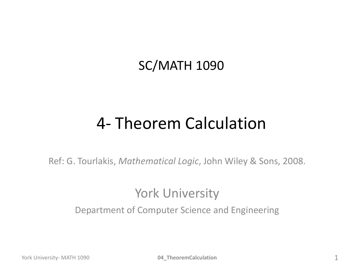#### SC/MATH 1090

#### 4- Theorem Calculation

Ref: G. Tourlakis, *Mathematical Logic*, John Wiley & Sons, 2008.

#### York University

Department of Computer Science and Engineering

York University- MATH 1090 **04\_TheoremCalculation** 1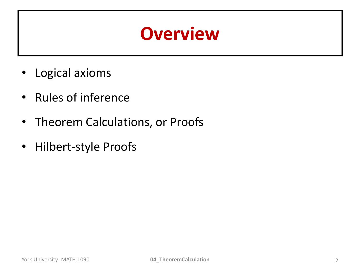## **Overview**

- Logical axioms
- Rules of inference
- Theorem Calculations, or Proofs
- Hilbert-style Proofs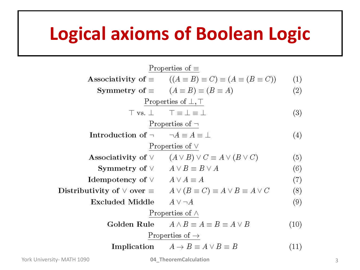## **Logical axioms of Boolean Logic**

| Properties of $\equiv$                               |                                                                                              |      |
|------------------------------------------------------|----------------------------------------------------------------------------------------------|------|
|                                                      | Associativity of $\equiv$ $((A \equiv B) \equiv C) \equiv (A \equiv (B \equiv C))$           | (1)  |
|                                                      | <b>Symmetry of</b> $\equiv$ $(A \equiv B) \equiv (B \equiv A)$                               | (2)  |
| Properties of $\perp, \perp$                         |                                                                                              |      |
|                                                      | $T$ vs. $\perp$ $T \equiv \perp \equiv \perp$                                                | (3)  |
| Properties of $\neg$                                 |                                                                                              |      |
| Introduction of $\neg A \equiv A \equiv \bot$        |                                                                                              | (4)  |
| Properties of $\vee$                                 |                                                                                              |      |
|                                                      | Associativity of $\vee$ $(A \vee B) \vee C \equiv A \vee (B \vee C)$                         | (5)  |
| <b>Symmetry of</b> $\vee$ $A \vee B \equiv B \vee A$ |                                                                                              | (6)  |
| Idempotency of $\vee$ $A \vee A \equiv A$            |                                                                                              | (7)  |
|                                                      | Distributivity of $\vee$ over $\equiv$ $A \vee (B \equiv C) \equiv A \vee B \equiv A \vee C$ | (8)  |
| Excluded Middle                                      | $A \vee \neg A$                                                                              | (9)  |
| Properties of $\wedge$                               |                                                                                              |      |
|                                                      | Golden Rule $A \wedge B \equiv A \equiv B \equiv A \vee B$                                   | (10) |
| Properties of $\rightarrow$                          |                                                                                              |      |
|                                                      | <b>Implication</b> $A \rightarrow B \equiv A \vee B \equiv B$                                | (11) |
|                                                      |                                                                                              |      |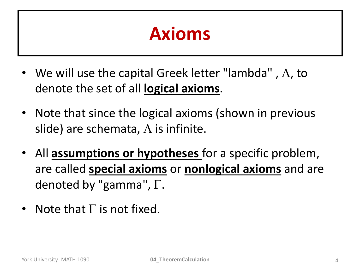# **Axioms**

- We will use the capital Greek letter "lambda",  $\Lambda$ , to denote the set of all **logical axioms**.
- Note that since the logical axioms (shown in previous slide) are schemata,  $\Lambda$  is infinite.
- All **assumptions or hypotheses** for a specific problem, are called **special axioms** or **nonlogical axioms** and are denoted by "gamma",  $\Gamma$ .
- Note that  $\Gamma$  is not fixed.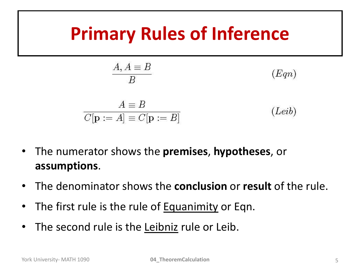## **Primary Rules of Inference**

$$
A, A \equiv B
$$
  
\n
$$
B
$$
  
\n
$$
Eqn
$$
  
\n
$$
Eqn
$$
  
\n
$$
Eqn
$$
  
\n
$$
Eqn
$$
  
\n
$$
Eqn
$$
  
\n
$$
Eqn
$$
  
\n
$$
Eqn
$$
  
\n
$$
Eqn
$$
  
\n
$$
Eqn
$$
  
\n
$$
Eqn
$$
  
\n
$$
Eqn
$$
  
\n
$$
Eqn
$$
  
\n
$$
Eqn
$$

- The numerator shows the **premises**, **hypotheses**, or **assumptions**.
- The denominator shows the **conclusion** or **result** of the rule.
- The first rule is the rule of Equanimity or Eqn.
- The second rule is the Leibniz rule or Leib.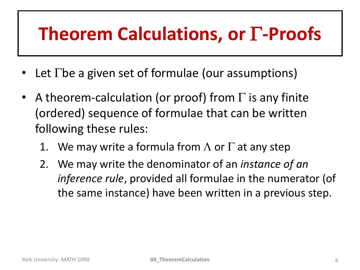# **Theorem Calculations, or T-Proofs**

- Let  $\Gamma$ be a given set of formulae (our assumptions)
- A theorem-calculation (or proof) from  $\Gamma$  is any finite (ordered) sequence of formulae that can be written following these rules:
	- We may write a formula from  $\Lambda$  or  $\Gamma$  at any step
	- 2. We may write the denominator of an *instance of an inference rule*, provided all formulae in the numerator (of the same instance) have been written in a previous step.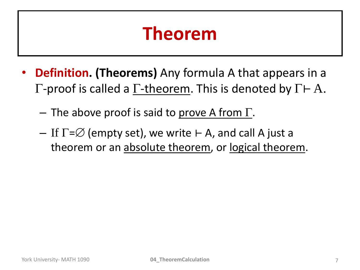## **Theorem**

- **Definition. (Theorems)** Any formula A that appears in a  $\Gamma$ -proof is called a  $\Gamma$ -theorem. This is denoted by  $\Gamma \vdash A$ .
	- The above proof is said to prove A from  $\Gamma$ .
	- If  $\Gamma = \emptyset$  (empty set), we write  $\vdash A$ , and call A just a theorem or an absolute theorem, or logical theorem.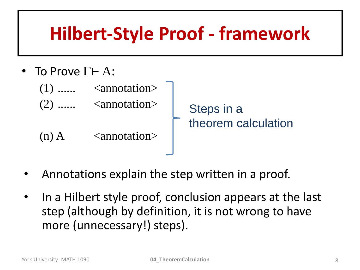## **Hilbert-Style Proof - framework**

- To Prove  $\Gamma$  ⊢ A:
	- $(1)$  ...... <annotation>
	- $(2)$  ...... <annotation>

(n)  $A \sim$  <annotation>

Steps in a theorem calculation

- Annotations explain the step written in a proof.
- In a Hilbert style proof, conclusion appears at the last step (although by definition, it is not wrong to have more (unnecessary!) steps).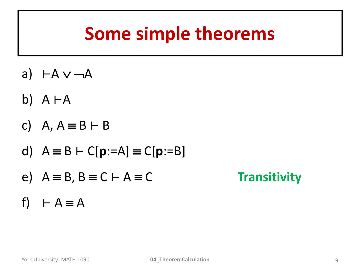## **Some simple theorems**

- a)  $\vdash A \lor \neg A$
- b)  $A \vdash A$
- c) A,  $A \equiv B + B$
- d)  $A = B \vdash C[p:=A] \equiv C[p:=B]$
- e)  $A \equiv B$ ,  $B \equiv C + A \equiv C$  **Transitivity** 
	-

f)  $\vdash A \equiv A$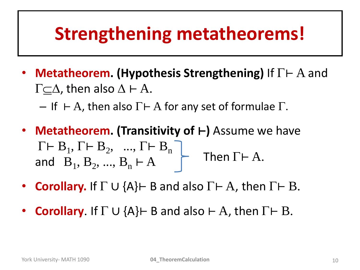## **Strengthening metatheorems!**

- **Metatheorem. (Hypothesis Strengthening)** If  $\Gamma \vdash A$  and  $\Gamma \subset \Delta$ , then also  $\Delta \vdash A$ .
	- If  $\vdash A$ , then also  $\Gamma \vdash A$  for any set of formulae  $\Gamma$ .
- **Metatheorem. (Transitivity of** ⊢**)** Assume we have  $\Gamma \vdash B_1$ ,  $\Gamma \vdash B_2$ , ...,  $\Gamma \vdash B_n$ and  $B_1, B_2, ..., B_n \vdash A$ Then  $\Gamma \vdash A$ .
- **Corollary.** If  $\Gamma \cup \{A\}$  B and also  $\Gamma \vdash A$ , then  $\Gamma \vdash B$ .
- **Corollary.** If  $\Gamma \cup \{A\}$  B and also  $\vdash A$ , then  $\Gamma \vdash B$ .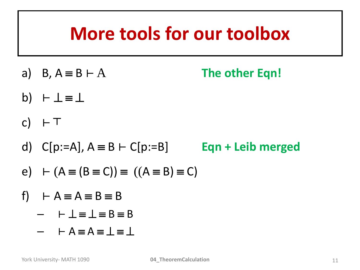## **More tools for our toolbox**

- a) B,  $A = B \vdash A$  **The other Eqn!**
- b)  $\vdash \bot \equiv \bot$
- c)  $⊩ T$
- d)  $C[p:=A]$ ,  $A \equiv B \vdash C[p:=B]$  **Eqn + Leib merged**
- e)  $\vdash (A \equiv (B \equiv C)) \equiv ((A \equiv B) \equiv C)$
- f)  $\vdash A \equiv A \equiv B \equiv B$ 
	- $\vdash \bot \equiv \bot \equiv \bot \equiv B \equiv B$
	- $\vdash A \equiv A \equiv 1 \equiv 1$